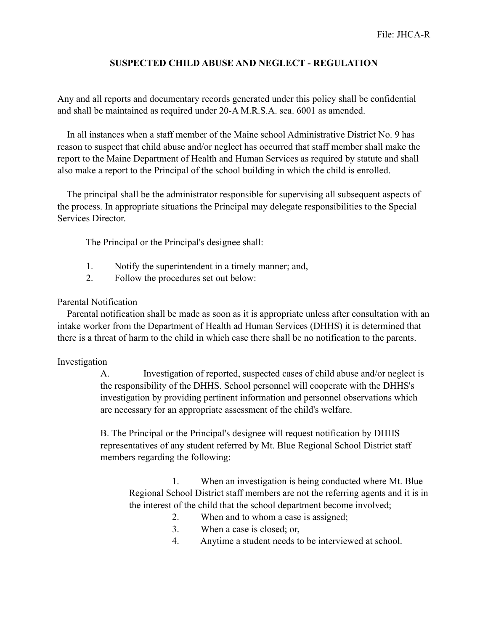## **SUSPECTED CHILD ABUSE AND NEGLECT - REGULATION**

Any and all reports and documentary records generated under this policy shall be confidential and shall be maintained as required under 20-A M.R.S.A. sea. 6001 as amended.

 In all instances when a staff member of the Maine school Administrative District No. 9 has reason to suspect that child abuse and/or neglect has occurred that staff member shall make the report to the Maine Department of Health and Human Services as required by statute and shall also make a report to the Principal of the school building in which the child is enrolled.

 The principal shall be the administrator responsible for supervising all subsequent aspects of the process. In appropriate situations the Principal may delegate responsibilities to the Special Services Director.

The Principal or the Principal's designee shall:

- 1. Notify the superintendent in a timely manner; and,
- 2. Follow the procedures set out below:

## Parental Notification

 Parental notification shall be made as soon as it is appropriate unless after consultation with an intake worker from the Department of Health ad Human Services (DHHS) it is determined that there is a threat of harm to the child in which case there shall be no notification to the parents.

## Investigation

A. Investigation of reported, suspected cases of child abuse and/or neglect is the responsibility of the DHHS. School personnel will cooperate with the DHHS's investigation by providing pertinent information and personnel observations which are necessary for an appropriate assessment of the child's welfare.

B. The Principal or the Principal's designee will request notification by DHHS representatives of any student referred by Mt. Blue Regional School District staff members regarding the following:

 1. When an investigation is being conducted where Mt. Blue Regional School District staff members are not the referring agents and it is in the interest of the child that the school department become involved;

- 2. When and to whom a case is assigned;
- 3. When a case is closed; or,
- 4. Anytime a student needs to be interviewed at school.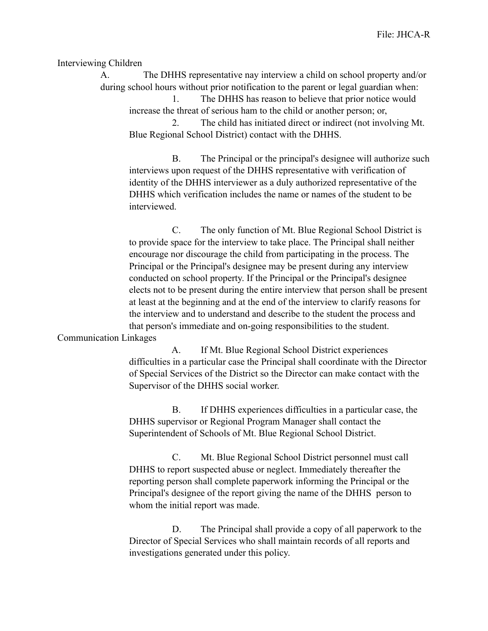Interviewing Children

A. The DHHS representative nay interview a child on school property and/or during school hours without prior notification to the parent or legal guardian when:

 1. The DHHS has reason to believe that prior notice would increase the threat of serious ham to the child or another person; or,

 2. The child has initiated direct or indirect (not involving Mt. Blue Regional School District) contact with the DHHS.

 B. The Principal or the principal's designee will authorize such interviews upon request of the DHHS representative with verification of identity of the DHHS interviewer as a duly authorized representative of the DHHS which verification includes the name or names of the student to be interviewed.

 C. The only function of Mt. Blue Regional School District is to provide space for the interview to take place. The Principal shall neither encourage nor discourage the child from participating in the process. The Principal or the Principal's designee may be present during any interview conducted on school property. If the Principal or the Principal's designee elects not to be present during the entire interview that person shall be present at least at the beginning and at the end of the interview to clarify reasons for the interview and to understand and describe to the student the process and that person's immediate and on-going responsibilities to the student.

Communication Linkages

 A. If Mt. Blue Regional School District experiences difficulties in a particular case the Principal shall coordinate with the Director of Special Services of the District so the Director can make contact with the Supervisor of the DHHS social worker.

 B. If DHHS experiences difficulties in a particular case, the DHHS supervisor or Regional Program Manager shall contact the Superintendent of Schools of Mt. Blue Regional School District.

 C. Mt. Blue Regional School District personnel must call DHHS to report suspected abuse or neglect. Immediately thereafter the reporting person shall complete paperwork informing the Principal or the Principal's designee of the report giving the name of the DHHS person to whom the initial report was made.

 D. The Principal shall provide a copy of all paperwork to the Director of Special Services who shall maintain records of all reports and investigations generated under this policy.